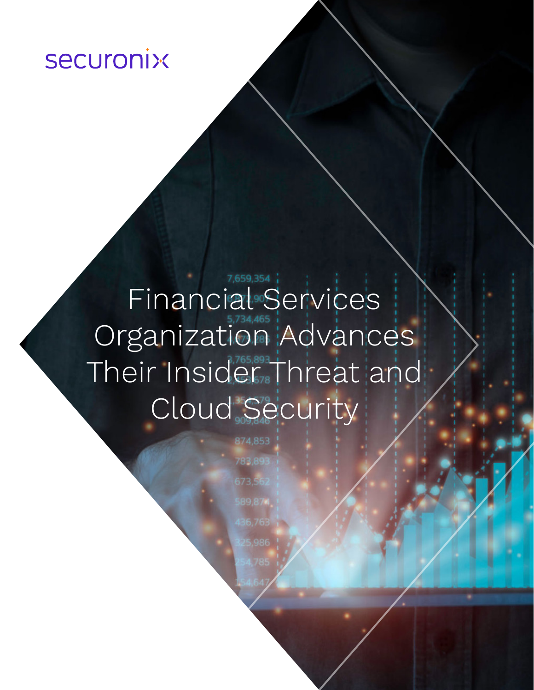## **securonix**

# Financial<sup>3,659,354</sup> Organization Advances Their Insider Threat and Cloud Security

783,893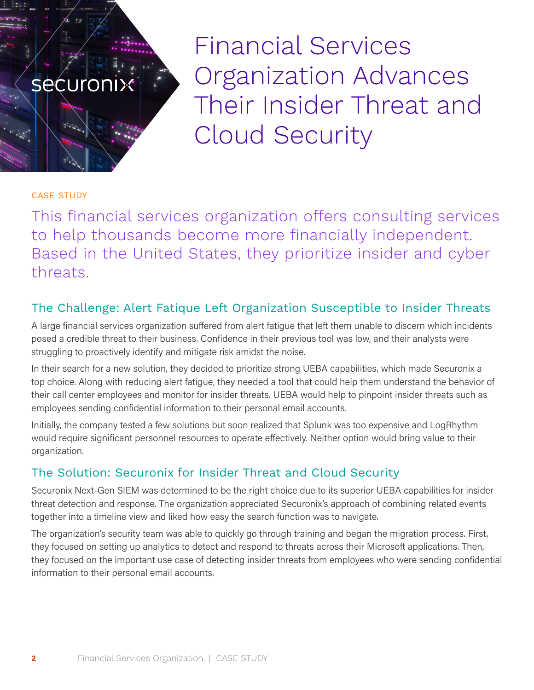Financial Services Organization Advances Their Insider Threat and Cloud Security

#### CASE STUDY

**securonix** 

 $\mathcal{O}_{\mathcal{F}_\mathcal{G}}$ 

This financial services organization offers consulting services to help thousands become more financially independent. Based in the United States, they prioritize insider and cyber threats.

#### The Challenge: Alert Fatique Left Organization Susceptible to Insider Threats

A large financial services organization suffered from alert fatigue that left them unable to discern which incidents posed a credible threat to their business. Confidence in their previous tool was low, and their analysts were struggling to proactively identify and mitigate risk amidst the noise.

In their search for a new solution, they decided to prioritize strong UEBA capabilities, which made Securonix a top choice. Along with reducing alert fatigue, they needed a tool that could help them understand the behavior of their call center employees and monitor for insider threats. UEBA would help to pinpoint insider threats such as employees sending confidential information to their personal email accounts.

Initially, the company tested a few solutions but soon realized that Splunk was too expensive and LogRhythm would require significant personnel resources to operate effectively. Neither option would bring value to their organization.

#### The Solution: Securonix for Insider Threat and Cloud Security

Securonix Next-Gen SIEM was determined to be the right choice due to its superior UEBA capabilities for insider threat detection and response. The organization appreciated Securonix's approach of combining related events together into a timeline view and liked how easy the search function was to navigate.

The organization's security team was able to quickly go through training and began the migration process. First, they focused on setting up analytics to detect and respond to threats across their Microsoft applications. Then, they focused on the important use case of detecting insider threats from employees who were sending confidential information to their personal email accounts.